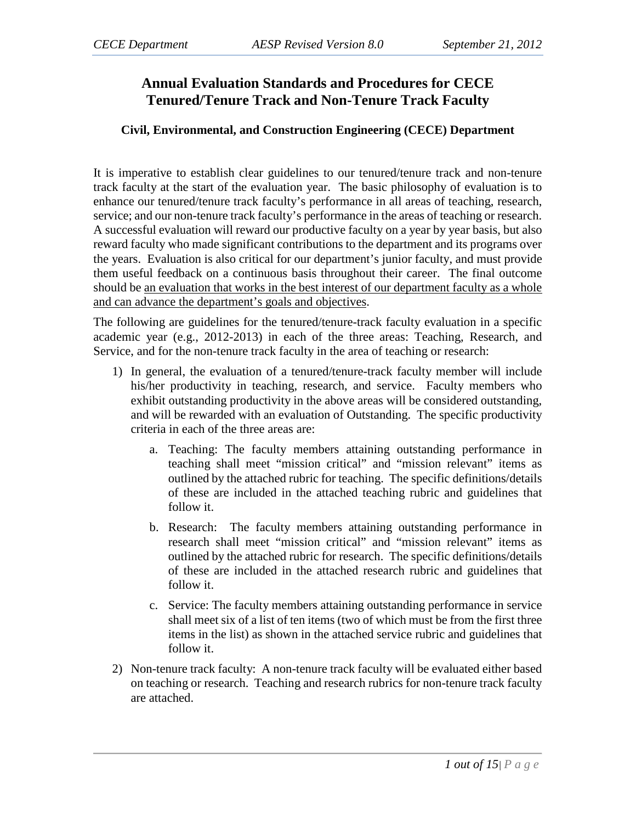# **Annual Evaluation Standards and Procedures for CECE Tenured/Tenure Track and Non-Tenure Track Faculty**

### **Civil, Environmental, and Construction Engineering (CECE) Department**

It is imperative to establish clear guidelines to our tenured/tenure track and non-tenure track faculty at the start of the evaluation year. The basic philosophy of evaluation is to enhance our tenured/tenure track faculty's performance in all areas of teaching, research, service; and our non-tenure track faculty's performance in the areas of teaching or research. A successful evaluation will reward our productive faculty on a year by year basis, but also reward faculty who made significant contributions to the department and its programs over the years. Evaluation is also critical for our department's junior faculty, and must provide them useful feedback on a continuous basis throughout their career. The final outcome should be an evaluation that works in the best interest of our department faculty as a whole and can advance the department's goals and objectives.

The following are guidelines for the tenured/tenure-track faculty evaluation in a specific academic year (e.g., 2012-2013) in each of the three areas: Teaching, Research, and Service, and for the non-tenure track faculty in the area of teaching or research:

- 1) In general, the evaluation of a tenured/tenure-track faculty member will include his/her productivity in teaching, research, and service. Faculty members who exhibit outstanding productivity in the above areas will be considered outstanding, and will be rewarded with an evaluation of Outstanding. The specific productivity criteria in each of the three areas are:
	- a. Teaching: The faculty members attaining outstanding performance in teaching shall meet "mission critical" and "mission relevant" items as outlined by the attached rubric for teaching. The specific definitions/details of these are included in the attached teaching rubric and guidelines that follow it.
	- b. Research: The faculty members attaining outstanding performance in research shall meet "mission critical" and "mission relevant" items as outlined by the attached rubric for research. The specific definitions/details of these are included in the attached research rubric and guidelines that follow it.
	- c. Service: The faculty members attaining outstanding performance in service shall meet six of a list of ten items (two of which must be from the first three items in the list) as shown in the attached service rubric and guidelines that follow it.
- 2) Non-tenure track faculty: A non-tenure track faculty will be evaluated either based on teaching or research. Teaching and research rubrics for non-tenure track faculty are attached.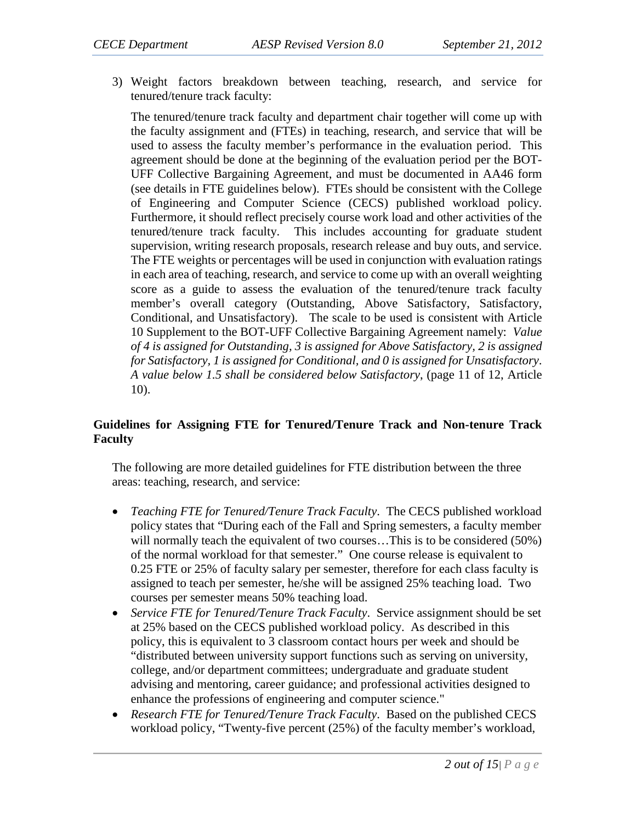3) Weight factors breakdown between teaching, research, and service for tenured/tenure track faculty:

The tenured/tenure track faculty and department chair together will come up with the faculty assignment and (FTEs) in teaching, research, and service that will be used to assess the faculty member's performance in the evaluation period. This agreement should be done at the beginning of the evaluation period per the BOT-UFF Collective Bargaining Agreement, and must be documented in AA46 form (see details in FTE guidelines below). FTEs should be consistent with the College of Engineering and Computer Science (CECS) published workload policy. Furthermore, it should reflect precisely course work load and other activities of the tenured/tenure track faculty. This includes accounting for graduate student supervision, writing research proposals, research release and buy outs, and service. The FTE weights or percentages will be used in conjunction with evaluation ratings in each area of teaching, research, and service to come up with an overall weighting score as a guide to assess the evaluation of the tenured/tenure track faculty member's overall category (Outstanding, Above Satisfactory, Satisfactory, Conditional, and Unsatisfactory). The scale to be used is consistent with Article 10 Supplement to the BOT-UFF Collective Bargaining Agreement namely: *Value of 4 is assigned for Outstanding, 3 is assigned for Above Satisfactory, 2 is assigned for Satisfactory, 1 is assigned for Conditional, and 0 is assigned for Unsatisfactory*. *A value below 1.5 shall be considered below Satisfactory*, (page 11 of 12, Article 10).

#### **Guidelines for Assigning FTE for Tenured/Tenure Track and Non-tenure Track Faculty**

The following are more detailed guidelines for FTE distribution between the three areas: teaching, research, and service:

- *Teaching FTE for Tenured/Tenure Track Faculty*. The CECS published workload policy states that "During each of the Fall and Spring semesters, a faculty member will normally teach the equivalent of two courses...This is to be considered (50%) of the normal workload for that semester." One course release is equivalent to 0.25 FTE or 25% of faculty salary per semester, therefore for each class faculty is assigned to teach per semester, he/she will be assigned 25% teaching load. Two courses per semester means 50% teaching load.
- *Service FTE for Tenured/Tenure Track Faculty*. Service assignment should be set at 25% based on the CECS published workload policy. As described in this policy, this is equivalent to 3 classroom contact hours per week and should be "distributed between university support functions such as serving on university, college, and/or department committees; undergraduate and graduate student advising and mentoring, career guidance; and professional activities designed to enhance the professions of engineering and computer science."
- *Research FTE for Tenured/Tenure Track Faculty*. Based on the published CECS workload policy, "Twenty-five percent (25%) of the faculty member's workload,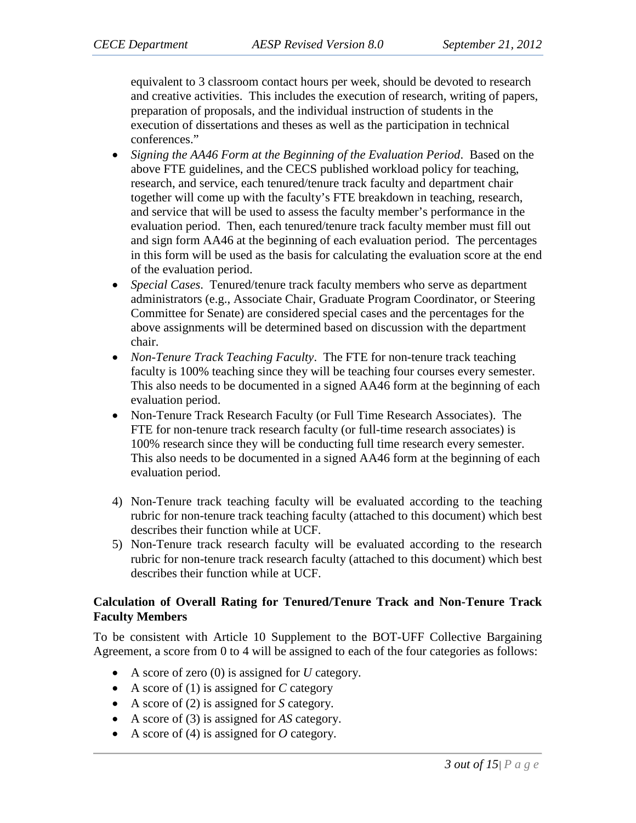equivalent to 3 classroom contact hours per week, should be devoted to research and creative activities. This includes the execution of research, writing of papers, preparation of proposals, and the individual instruction of students in the execution of dissertations and theses as well as the participation in technical conferences."

- *Signing the AA46 Form at the Beginning of the Evaluation Period*. Based on the above FTE guidelines, and the CECS published workload policy for teaching, research, and service, each tenured/tenure track faculty and department chair together will come up with the faculty's FTE breakdown in teaching, research, and service that will be used to assess the faculty member's performance in the evaluation period. Then, each tenured/tenure track faculty member must fill out and sign form AA46 at the beginning of each evaluation period. The percentages in this form will be used as the basis for calculating the evaluation score at the end of the evaluation period.
- *Special Cases*. Tenured/tenure track faculty members who serve as department administrators (e.g., Associate Chair, Graduate Program Coordinator, or Steering Committee for Senate) are considered special cases and the percentages for the above assignments will be determined based on discussion with the department chair.
- *Non-Tenure Track Teaching Faculty*. The FTE for non-tenure track teaching faculty is 100% teaching since they will be teaching four courses every semester. This also needs to be documented in a signed AA46 form at the beginning of each evaluation period.
- Non-Tenure Track Research Faculty (or Full Time Research Associates). The FTE for non-tenure track research faculty (or full-time research associates) is 100% research since they will be conducting full time research every semester. This also needs to be documented in a signed AA46 form at the beginning of each evaluation period.
- 4) Non-Tenure track teaching faculty will be evaluated according to the teaching rubric for non-tenure track teaching faculty (attached to this document) which best describes their function while at UCF.
- 5) Non-Tenure track research faculty will be evaluated according to the research rubric for non-tenure track research faculty (attached to this document) which best describes their function while at UCF.

#### **Calculation of Overall Rating for Tenured/Tenure Track and Non-Tenure Track Faculty Members**

To be consistent with Article 10 Supplement to the BOT-UFF Collective Bargaining Agreement, a score from 0 to 4 will be assigned to each of the four categories as follows:

- A score of zero (0) is assigned for *U* category.
- A score of (1) is assigned for *C* category
- A score of (2) is assigned for *S* category.
- A score of (3) is assigned for *AS* category.
- A score of (4) is assigned for *O* category.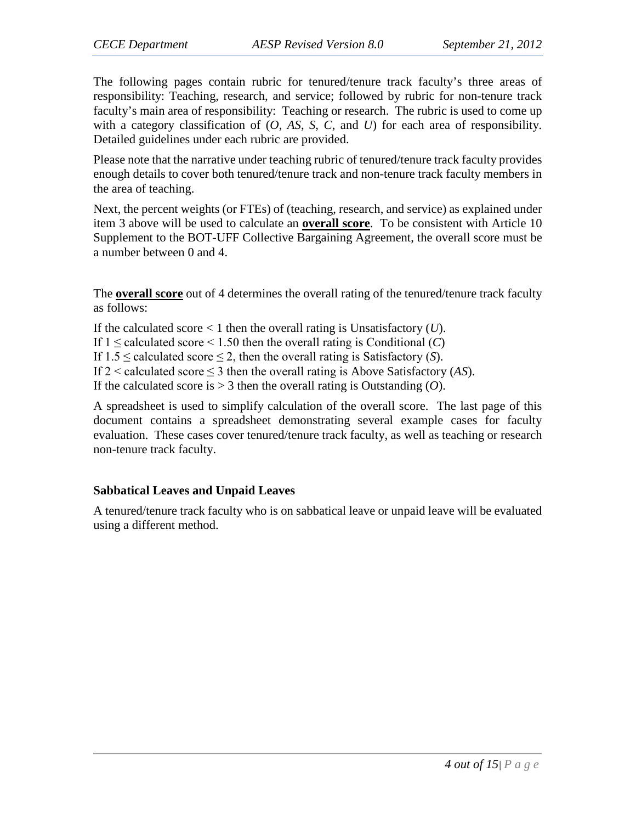The following pages contain rubric for tenured/tenure track faculty's three areas of responsibility: Teaching, research, and service; followed by rubric for non-tenure track faculty's main area of responsibility: Teaching or research. The rubric is used to come up with a category classification of (*O*, *AS*, *S*, *C*, and *U*) for each area of responsibility. Detailed guidelines under each rubric are provided.

Please note that the narrative under teaching rubric of tenured/tenure track faculty provides enough details to cover both tenured/tenure track and non-tenure track faculty members in the area of teaching.

Next, the percent weights (or FTEs) of (teaching, research, and service) as explained under item 3 above will be used to calculate an **overall score**. To be consistent with Article 10 Supplement to the BOT-UFF Collective Bargaining Agreement, the overall score must be a number between 0 and 4.

The **overall score** out of 4 determines the overall rating of the tenured/tenure track faculty as follows:

If the calculated score < 1 then the overall rating is Unsatisfactory (*U*).

If  $1 \leq$  calculated score  $\leq 1.50$  then the overall rating is Conditional (*C*)

If  $1.5 \leq$  calculated score  $\leq$  2, then the overall rating is Satisfactory (*S*).

If  $2 <$  calculated score  $\leq 3$  then the overall rating is Above Satisfactory (AS).

If the calculated score is > 3 then the overall rating is Outstanding (*O*).

A spreadsheet is used to simplify calculation of the overall score. The last page of this document contains a spreadsheet demonstrating several example cases for faculty evaluation. These cases cover tenured/tenure track faculty, as well as teaching or research non-tenure track faculty.

### **Sabbatical Leaves and Unpaid Leaves**

A tenured/tenure track faculty who is on sabbatical leave or unpaid leave will be evaluated using a different method.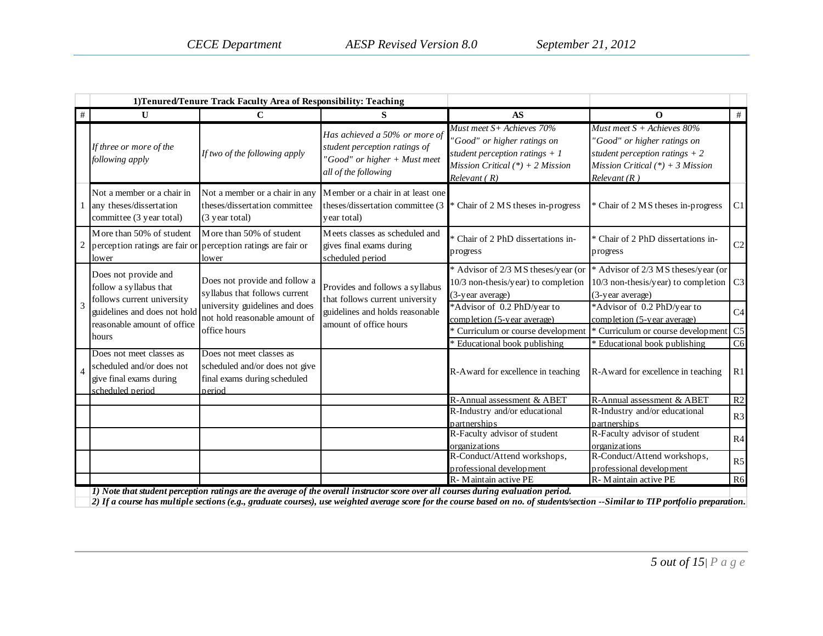|   |                                                                                                      | 1) Tenured/Tenure Track Faculty Area of Responsibility: Teaching                                     |                                                                                                                                   |                                                                                                                                                   |                                                                                                                                                     |                |
|---|------------------------------------------------------------------------------------------------------|------------------------------------------------------------------------------------------------------|-----------------------------------------------------------------------------------------------------------------------------------|---------------------------------------------------------------------------------------------------------------------------------------------------|-----------------------------------------------------------------------------------------------------------------------------------------------------|----------------|
| # | $\mathbf{U}$                                                                                         | $\mathbf C$                                                                                          | S                                                                                                                                 | <b>AS</b>                                                                                                                                         | 0                                                                                                                                                   | #              |
|   | If three or more of the<br>following apply                                                           | If two of the following apply                                                                        | Has achieved a 50% or more of<br>student perception ratings of<br>"Good" or higher + Must meet<br>all of the following            | Must meet S+ Achieves 70%<br>"Good" or higher ratings on<br>student perception ratings $+1$<br>Mission Critical $(*) + 2$ Mission<br>Relevant (R) | Must meet $S +$ Achieves 80%<br>"Good" or higher ratings on<br>student perception ratings $+2$<br>Mission Critical $(*) + 3$ Mission<br>Relevant(R) |                |
|   | Not a member or a chair in<br>any theses/dissertation<br>committee (3 year total)                    | Not a member or a chair in any<br>theses/dissertation committee<br>(3 year total)                    | Member or a chair in at least one<br>theses/dissertation committee (3)<br>year total)                                             | * Chair of 2 MS theses in-progress                                                                                                                | * Chair of 2 MS theses in-progress                                                                                                                  | C1             |
|   | More than 50% of student<br>lower                                                                    | More than 50% of student<br>perception ratings are fair or perception ratings are fair or<br>lower   | Meets classes as scheduled and<br>gives final exams during<br>scheduled period                                                    | * Chair of 2 PhD dissertations in-<br>progress                                                                                                    | * Chair of 2 PhD dissertations in-<br>progress                                                                                                      | $\mathbf{C}2$  |
|   | Does not provide and<br>follow a syllabus that<br>follows current university                         | Does not provide and follow a<br>syllabus that follows current                                       | Provides and follows a syllabus<br>that follows current university<br>guidelines and holds reasonable<br>amount of office hours   | * Advisor of 2/3 MS theses/year (or<br>10/3 non-thesis/year) to completion<br>(3-year average)                                                    | * Advisor of 2/3 MS theses/year (or<br>$10/3$ non-thesis/year) to completion<br>(3-year average)                                                    | C <sub>3</sub> |
| 3 | guidelines and does not hold<br>reasonable amount of office                                          | university guidelines and does<br>not hold reasonable amount of                                      |                                                                                                                                   | *Advisor of 0.2 PhD/year to<br>completion (5-year average)                                                                                        | *Advisor of 0.2 PhD/year to<br>completion (5-year average)                                                                                          | C <sub>4</sub> |
|   | hours                                                                                                | office hours                                                                                         |                                                                                                                                   | Curriculum or course development                                                                                                                  | * Curriculum or course development                                                                                                                  | C <sub>5</sub> |
|   | Does not meet classes as<br>scheduled and/or does not<br>give final exams during<br>scheduled period | Does not meet classes as<br>scheduled and/or does not give<br>final exams during scheduled<br>period |                                                                                                                                   | * Educational book publishing<br>R-Award for excellence in teaching                                                                               | * Educational book publishing<br>R-Award for excellence in teaching                                                                                 | C6<br>R1       |
|   |                                                                                                      |                                                                                                      |                                                                                                                                   | R-Annual assessment & ABET                                                                                                                        | R-Annual assessment & ABET                                                                                                                          | $\mathbb{R}2$  |
|   |                                                                                                      |                                                                                                      |                                                                                                                                   | R-Industry and/or educational<br>partnerships                                                                                                     | R-Industry and/or educational<br>partnerships                                                                                                       | R3             |
|   |                                                                                                      |                                                                                                      |                                                                                                                                   | R-Faculty advisor of student<br>organizations                                                                                                     | R-Faculty advisor of student<br>organizations                                                                                                       | R4             |
|   |                                                                                                      |                                                                                                      |                                                                                                                                   | R-Conduct/Attend workshops,<br>professional development                                                                                           | R-Conduct/Attend workshops,<br>professional development                                                                                             | R5             |
|   |                                                                                                      |                                                                                                      | 1) Note that student perception ratings are the average of the overall instructor score over all courses during evaluation period | R-Maintain active PE                                                                                                                              | R-Maintain active PE                                                                                                                                | R6             |

*1) Note that student perception ratings are the average of the overall instructor score over all courses during evaluation period.*

*2) If a course has multiple sections (e.g., graduate courses), use weighted average score for the course based on no. of students/section --Similar to TIP portfolio preparation.*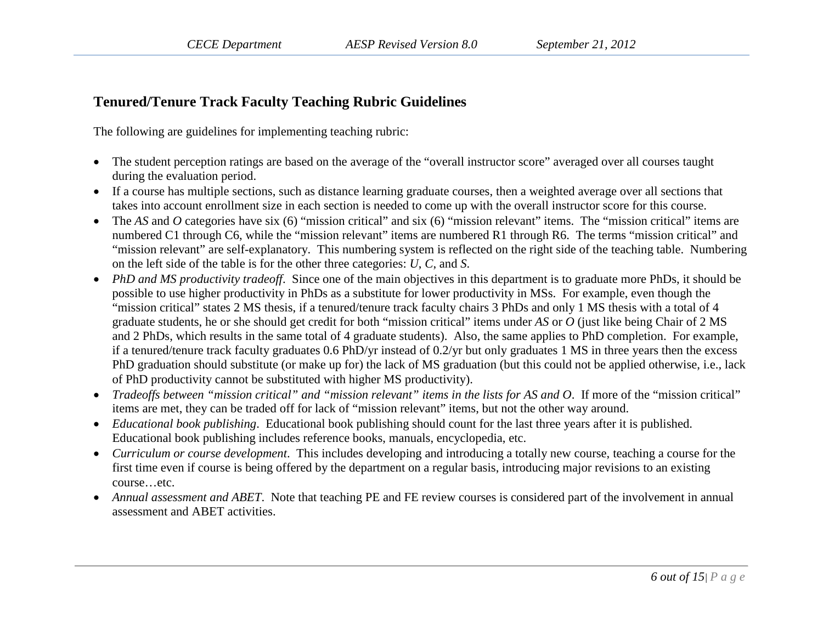# **Tenured/Tenure Track Faculty Teaching Rubric Guidelines**

The following are guidelines for implementing teaching rubric:

- The student perception ratings are based on the average of the "overall instructor score" averaged over all courses taught during the evaluation period.
- If a course has multiple sections, such as distance learning graduate courses, then a weighted average over all sections that takes into account enrollment size in each section is needed to come up with the overall instructor score for this course.
- The *AS* and *O* categories have six (6) "mission critical" and six (6) "mission relevant" items. The "mission critical" items are numbered C1 through C6, while the "mission relevant" items are numbered R1 through R6. The terms "mission critical" and "mission relevant" are self-explanatory. This numbering system is reflected on the right side of the teaching table. Numbering on the left side of the table is for the other three categories: *U*, *C*, and *S*.
- *PhD and MS productivity tradeoff*. Since one of the main objectives in this department is to graduate more PhDs, it should be possible to use higher productivity in PhDs as a substitute for lower productivity in MSs. For example, even though the "mission critical" states 2 MS thesis, if a tenured/tenure track faculty chairs 3 PhDs and only 1 MS thesis with a total of 4 graduate students, he or she should get credit for both "mission critical" items under *AS* or *O* (just like being Chair of 2 MS and 2 PhDs, which results in the same total of 4 graduate students). Also, the same applies to PhD completion. For example, if a tenured/tenure track faculty graduates 0.6 PhD/yr instead of 0.2/yr but only graduates 1 MS in three years then the excess PhD graduation should substitute (or make up for) the lack of MS graduation (but this could not be applied otherwise, i.e., lack of PhD productivity cannot be substituted with higher MS productivity).
- *Tradeoffs between "mission critical" and "mission relevant" items in the lists for AS and O*. If more of the "mission critical" items are met, they can be traded off for lack of "mission relevant" items, but not the other way around.
- *Educational book publishing*. Educational book publishing should count for the last three years after it is published. Educational book publishing includes reference books, manuals, encyclopedia, etc.
- *Curriculum or course development*. This includes developing and introducing a totally new course, teaching a course for the first time even if course is being offered by the department on a regular basis, introducing major revisions to an existing course…etc.
- *Annual assessment and ABET*. Note that teaching PE and FE review courses is considered part of the involvement in annual assessment and ABET activities.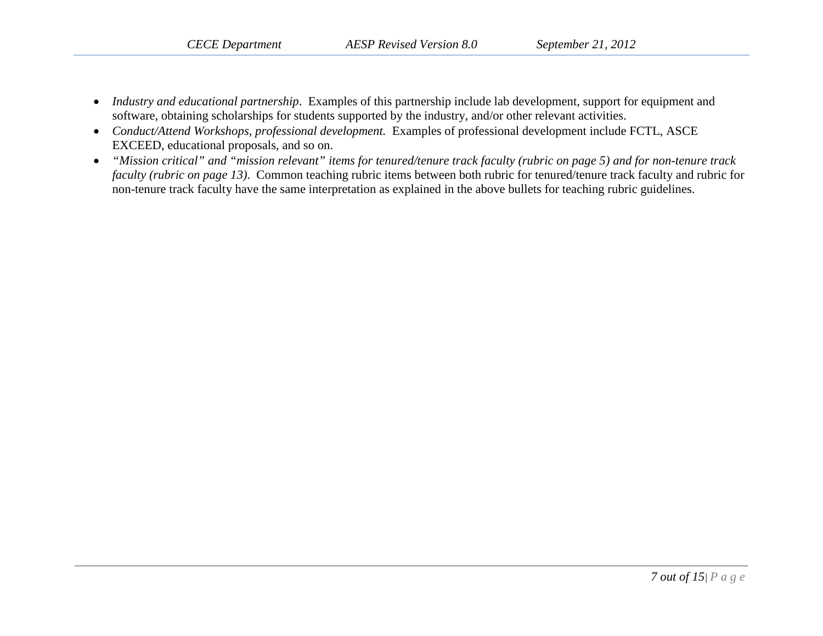- *Industry and educational partnership*. Examples of this partnership include lab development, support for equipment and software, obtaining scholarships for students supported by the industry, and/or other relevant activities.
- *Conduct/Attend Workshops, professional development.* Examples of professional development include FCTL, ASCE EXCEED, educational proposals, and so on.
- *"Mission critical" and "mission relevant" items for tenured/tenure track faculty (rubric on page 5) and for non-tenure track faculty (rubric on page 13)*. Common teaching rubric items between both rubric for tenured/tenure track faculty and rubric for non-tenure track faculty have the same interpretation as explained in the above bullets for teaching rubric guidelines.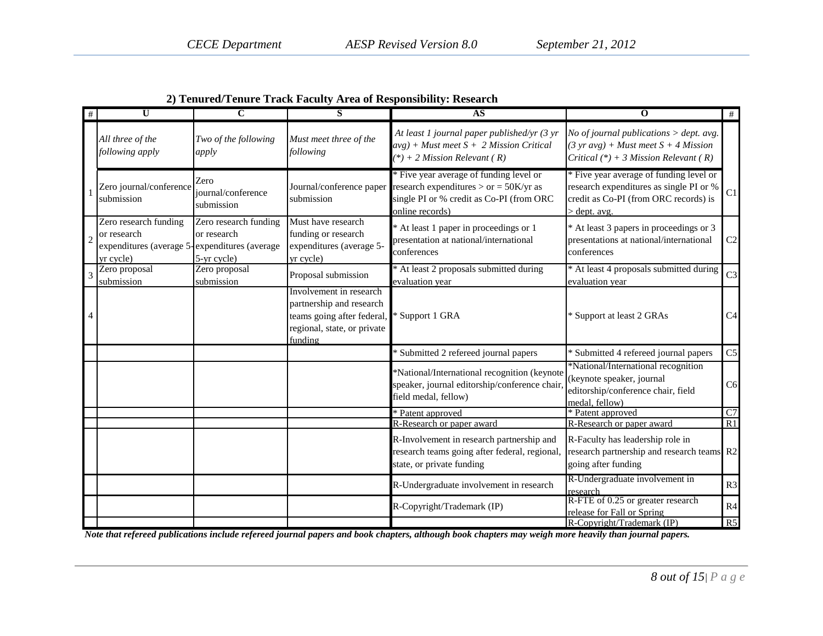| 2) Tenured/Tenure Track Faculty Area of Responsibility: Research |  |  |
|------------------------------------------------------------------|--|--|
|                                                                  |  |  |

| #              | $\overline{\mathbf{U}}$                                                                            | C                                                   | S                                                                                                                           | AS                                                                                                                                                 | $\overline{0}$                                                                                                                                | #               |
|----------------|----------------------------------------------------------------------------------------------------|-----------------------------------------------------|-----------------------------------------------------------------------------------------------------------------------------|----------------------------------------------------------------------------------------------------------------------------------------------------|-----------------------------------------------------------------------------------------------------------------------------------------------|-----------------|
|                | All three of the<br>following apply                                                                | Two of the following<br>apply                       | Must meet three of the<br>following                                                                                         | At least 1 journal paper published/yr (3 yr<br>$avg$ ) + Must meet $S + 2$ Mission Critical<br>$(*) + 2$ Mission Relevant (R)                      | No of journal publications $>$ dept. avg.<br>$(3 \text{ yr} avg) + Must$ meet $S + 4$ Mission<br>Critical $(*) + 3$ Mission Relevant (R)      |                 |
|                | Zero journal/conference<br>submission                                                              | Zero<br>journal/conference<br>submission            | Journal/conference paper<br>submission                                                                                      | * Five year average of funding level or<br>research expenditures $>$ or = 50K/yr as<br>single PI or % credit as Co-PI (from ORC<br>online records) | * Five year average of funding level or<br>research expenditures as single PI or %<br>credit as Co-PI (from ORC records) is<br>$>$ dept. avg. | C1              |
| $\overline{c}$ | Zero research funding<br>or research<br>expenditures (average 5-expenditures (average<br>yr cycle) | Zero research funding<br>or research<br>5-yr cycle) | Must have research<br>funding or research<br>expenditures (average 5-<br>yr cycle)                                          | At least 1 paper in proceedings or 1<br>presentation at national/international<br>conferences                                                      | * At least 3 papers in proceedings or 3<br>presentations at national/international<br>conferences                                             | C2              |
|                | Zero proposal<br>submission                                                                        | Zero proposal<br>submission                         | Proposal submission                                                                                                         | At least 2 proposals submitted during<br>evaluation year                                                                                           | * At least 4 proposals submitted during<br>evaluation year                                                                                    | C <sub>3</sub>  |
|                |                                                                                                    |                                                     | Involvement in research<br>partnership and research<br>teams going after federal,<br>regional, state, or private<br>funding | Support 1 GRA                                                                                                                                      | * Support at least 2 GRAs                                                                                                                     | C <sub>4</sub>  |
|                |                                                                                                    |                                                     |                                                                                                                             | <sup>*</sup> Submitted 2 refereed journal papers                                                                                                   | * Submitted 4 refereed journal papers                                                                                                         | C <sub>5</sub>  |
|                |                                                                                                    |                                                     |                                                                                                                             | *National/International recognition (keynote<br>speaker, journal editorship/conference chair<br>field medal, fellow)                               | *National/International recognition<br>(keynote speaker, journal<br>editorship/conference chair, field<br>medal, fellow)                      | C <sub>6</sub>  |
|                |                                                                                                    |                                                     |                                                                                                                             | * Patent approved                                                                                                                                  | * Patent approved                                                                                                                             | $\overline{C7}$ |
|                |                                                                                                    |                                                     |                                                                                                                             | R-Research or paper award                                                                                                                          | R-Research or paper award                                                                                                                     | R1              |
|                |                                                                                                    |                                                     |                                                                                                                             | R-Involvement in research partnership and<br>research teams going after federal, regional,<br>state, or private funding                            | R-Faculty has leadership role in<br>research partnership and research teams R2<br>going after funding                                         |                 |
|                |                                                                                                    |                                                     |                                                                                                                             | R-Undergraduate involvement in research                                                                                                            | R-Undergraduate involvement in<br>research                                                                                                    | R3              |
|                |                                                                                                    |                                                     |                                                                                                                             | R-Copyright/Trademark (IP)                                                                                                                         | R-FTE of 0.25 or greater research<br>release for Fall or Spring                                                                               | R <sub>4</sub>  |
|                |                                                                                                    |                                                     |                                                                                                                             |                                                                                                                                                    | R-Copyright/Trademark (IP)                                                                                                                    | R5              |

*Note that refereed publications include refereed journal papers and book chapters, although book chapters may weigh more heavily than journal papers.*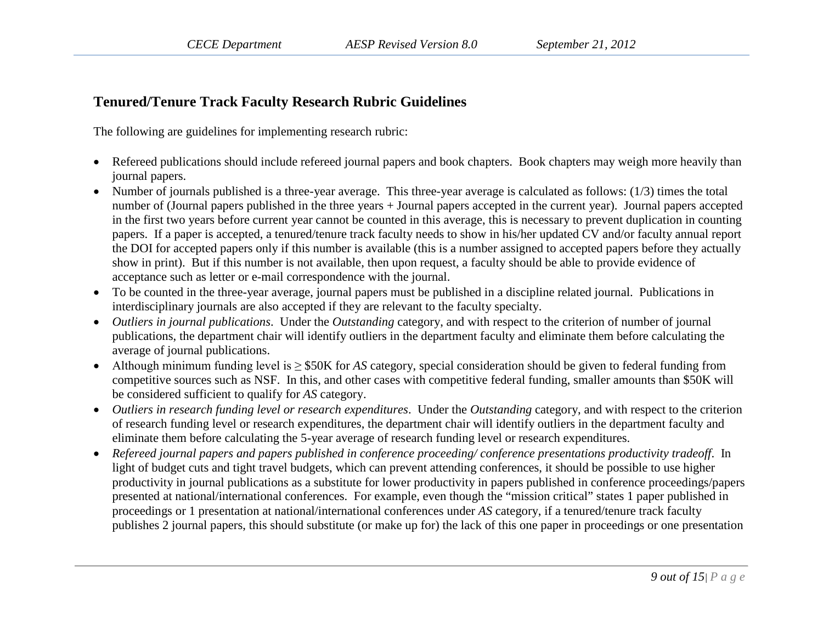# **Tenured/Tenure Track Faculty Research Rubric Guidelines**

The following are guidelines for implementing research rubric:

- Refereed publications should include refereed journal papers and book chapters. Book chapters may weigh more heavily than journal papers.
- Number of journals published is a three-year average. This three-year average is calculated as follows: (1/3) times the total number of (Journal papers published in the three years + Journal papers accepted in the current year). Journal papers accepted in the first two years before current year cannot be counted in this average, this is necessary to prevent duplication in counting papers. If a paper is accepted, a tenured/tenure track faculty needs to show in his/her updated CV and/or faculty annual report the DOI for accepted papers only if this number is available (this is a number assigned to accepted papers before they actually show in print). But if this number is not available, then upon request, a faculty should be able to provide evidence of acceptance such as letter or e-mail correspondence with the journal.
- To be counted in the three-year average, journal papers must be published in a discipline related journal. Publications in interdisciplinary journals are also accepted if they are relevant to the faculty specialty.
- *Outliers in journal publications*. Under the *Outstanding* category, and with respect to the criterion of number of journal publications, the department chair will identify outliers in the department faculty and eliminate them before calculating the average of journal publications.
- Although minimum funding level is ≥ \$50K for *AS* category, special consideration should be given to federal funding from competitive sources such as NSF. In this, and other cases with competitive federal funding, smaller amounts than \$50K will be considered sufficient to qualify for *AS* category.
- *Outliers in research funding level or research expenditures*. Under the *Outstanding* category, and with respect to the criterion of research funding level or research expenditures, the department chair will identify outliers in the department faculty and eliminate them before calculating the 5-year average of research funding level or research expenditures.
- *Refereed journal papers and papers published in conference proceeding/ conference presentations productivity tradeoff*. In light of budget cuts and tight travel budgets, which can prevent attending conferences, it should be possible to use higher productivity in journal publications as a substitute for lower productivity in papers published in conference proceedings/papers presented at national/international conferences. For example, even though the "mission critical" states 1 paper published in proceedings or 1 presentation at national/international conferences under *AS* category, if a tenured/tenure track faculty publishes 2 journal papers, this should substitute (or make up for) the lack of this one paper in proceedings or one presentation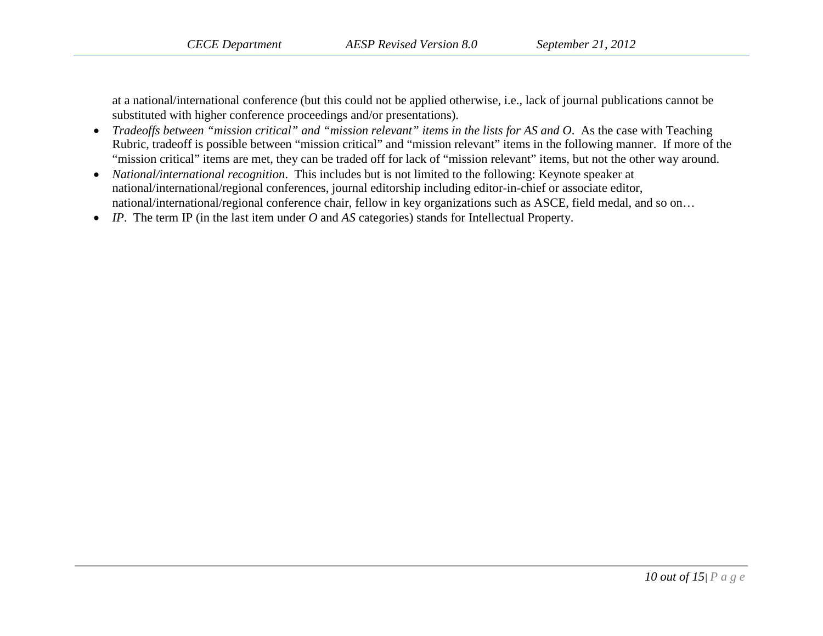at a national/international conference (but this could not be applied otherwise, i.e., lack of journal publications cannot be substituted with higher conference proceedings and/or presentations).

- *Tradeoffs between "mission critical" and "mission relevant" items in the lists for AS and O*. As the case with Teaching Rubric, tradeoff is possible between "mission critical" and "mission relevant" items in the following manner. If more of the "mission critical" items are met, they can be traded off for lack of "mission relevant" items, but not the other way around.
- *National/international recognition*. This includes but is not limited to the following: Keynote speaker at national/international/regional conferences, journal editorship including editor-in-chief or associate editor, national/international/regional conference chair, fellow in key organizations such as ASCE, field medal, and so on…
- *IP*. The term IP (in the last item under *O* and *AS* categories) stands for Intellectual Property.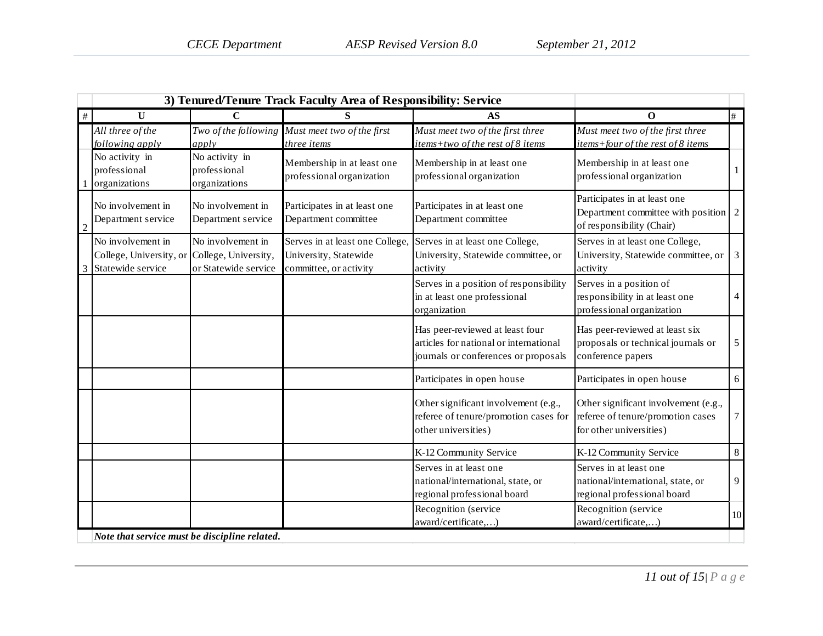|                | 3) Tenured/Tenure Track Faculty Area of Responsibility: Service   |                                                                   |                                                                                    |                                                                                                                   |                                                                                                             |                |
|----------------|-------------------------------------------------------------------|-------------------------------------------------------------------|------------------------------------------------------------------------------------|-------------------------------------------------------------------------------------------------------------------|-------------------------------------------------------------------------------------------------------------|----------------|
| $\#$           | U                                                                 | C                                                                 |                                                                                    | AS                                                                                                                | O                                                                                                           | #              |
|                | All three of the<br>following apply                               | Two of the following<br>apply                                     | Must meet two of the first<br>three items                                          | Must meet two of the first three<br>items+two of the rest of 8 items                                              | Must meet two of the first three<br>items+four of the rest of 8 items                                       |                |
|                | No activity in<br>professional<br>organizations                   | No activity in<br>professional<br>organizations                   | Membership in at least one<br>professional organization                            | Membership in at least one<br>professional organization                                                           | Membership in at least one<br>professional organization                                                     | $\mathbf{1}$   |
| $\overline{c}$ | No involvement in<br>Department service                           | No involvement in<br>Department service                           | Participates in at least one<br>Department committee                               | Participates in at least one<br>Department committee                                                              | Participates in at least one<br>Department committee with position $\boxed{2}$<br>of responsibility (Chair) |                |
|                | No involvement in<br>College, University, or<br>Statewide service | No involvement in<br>College, University,<br>or Statewide service | Serves in at least one College,<br>University, Statewide<br>committee, or activity | Serves in at least one College,<br>University, Statewide committee, or<br>activity                                | Serves in at least one College,<br>University, Statewide committee, or<br>activity                          | $\mathfrak{Z}$ |
|                |                                                                   |                                                                   |                                                                                    | Serves in a position of responsibility<br>in at least one professional<br>organization                            | Serves in a position of<br>responsibility in at least one<br>professional organization                      | $\overline{4}$ |
|                |                                                                   |                                                                   |                                                                                    | Has peer-reviewed at least four<br>articles for national or international<br>journals or conferences or proposals | Has peer-reviewed at least six<br>proposals or technical journals or<br>conference papers                   | $\mathfrak s$  |
|                |                                                                   |                                                                   |                                                                                    | Participates in open house                                                                                        | Participates in open house                                                                                  | 6              |
|                |                                                                   |                                                                   |                                                                                    | Other significant involvement (e.g.,<br>referee of tenure/promotion cases for<br>other universities)              | Other significant involvement (e.g.,<br>referee of tenure/promotion cases<br>for other universities)        | $\tau$         |
|                |                                                                   |                                                                   |                                                                                    | K-12 Community Service                                                                                            | K-12 Community Service                                                                                      | $8\,$          |
|                |                                                                   |                                                                   |                                                                                    | Serves in at least one<br>national/international, state, or<br>regional professional board                        | Serves in at least one<br>national/international, state, or<br>regional professional board                  | 9              |
|                |                                                                   |                                                                   |                                                                                    | Recognition (service<br>award/certificate,)                                                                       | Recognition (service<br>award/certificate,)                                                                 | 10             |
|                | Note that service must be discipline related.                     |                                                                   |                                                                                    |                                                                                                                   |                                                                                                             |                |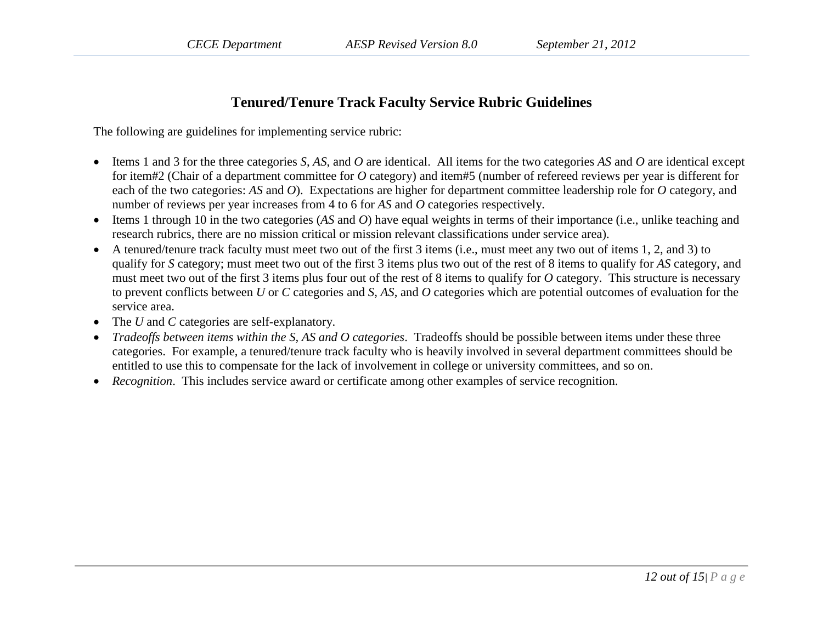## **Tenured/Tenure Track Faculty Service Rubric Guidelines**

The following are guidelines for implementing service rubric:

- Items 1 and 3 for the three categories *S*, *AS*, and *O* are identical. All items for the two categories *AS* and *O* are identical except for item#2 (Chair of a department committee for *O* category) and item#5 (number of refereed reviews per year is different for each of the two categories: *AS* and *O*). Expectations are higher for department committee leadership role for *O* category, and number of reviews per year increases from 4 to 6 for *AS* and *O* categories respectively.
- Items 1 through 10 in the two categories (*AS* and *O*) have equal weights in terms of their importance (i.e., unlike teaching and research rubrics, there are no mission critical or mission relevant classifications under service area).
- A tenured/tenure track faculty must meet two out of the first 3 items (i.e., must meet any two out of items 1, 2, and 3) to qualify for *S* category; must meet two out of the first 3 items plus two out of the rest of 8 items to qualify for *AS* category, and must meet two out of the first 3 items plus four out of the rest of 8 items to qualify for *O* category. This structure is necessary to prevent conflicts between *U* or *C* categories and *S*, *AS*, and *O* categories which are potential outcomes of evaluation for the service area.
- The *U* and *C* categories are self-explanatory.
- *Tradeoffs between items within the S, AS and O categories*. Tradeoffs should be possible between items under these three categories. For example, a tenured/tenure track faculty who is heavily involved in several department committees should be entitled to use this to compensate for the lack of involvement in college or university committees, and so on.
- *Recognition*. This includes service award or certificate among other examples of service recognition.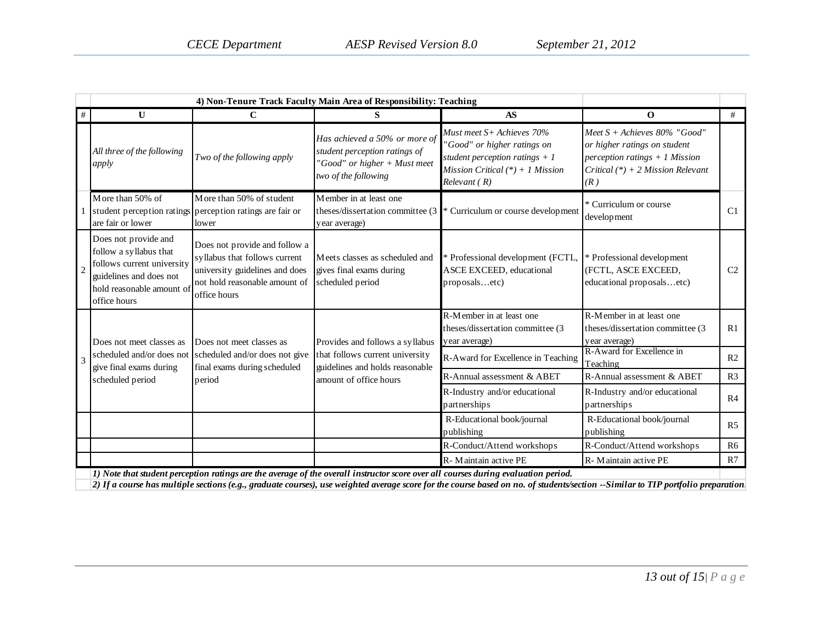| #              | U                                                                                                                                                    | $\mathbf C$                                                                                                                                       | S                                                                                                                      | <b>AS</b>                                                                                                                                        | $\mathbf 0$                                                                                                                                     | #              |
|----------------|------------------------------------------------------------------------------------------------------------------------------------------------------|---------------------------------------------------------------------------------------------------------------------------------------------------|------------------------------------------------------------------------------------------------------------------------|--------------------------------------------------------------------------------------------------------------------------------------------------|-------------------------------------------------------------------------------------------------------------------------------------------------|----------------|
|                | All three of the following<br>apply                                                                                                                  | Two of the following apply                                                                                                                        | Has achieved a 50% or more of<br>student perception ratings of<br>"Good" or higher + Must meet<br>two of the following | Must meet S+ Achieves 70%<br>"Good" or higher ratings on<br>student perception ratings $+1$<br>Mission Critical $(*) + 1$ Mission<br>Relevant(R) | Meet $S +$ Achieves 80% "Good"<br>or higher ratings on student<br>perception ratings $+1$ Mission<br>Critical $(*) + 2$ Mission Relevant<br>(R) |                |
|                | More than 50% of<br>are fair or lower                                                                                                                | More than 50% of student<br>student perception ratings perception ratings are fair or<br>lower                                                    | Member in at least one<br>theses/dissertation committee (3)<br>year average)                                           | * Curriculum or course development                                                                                                               | * Curriculum or course<br>development                                                                                                           | C <sub>1</sub> |
| $\mathfrak{D}$ | Does not provide and<br>follow a syllabus that<br>follows current university<br>guidelines and does not<br>hold reasonable amount of<br>office hours | Does not provide and follow a<br>syllabus that follows current<br>university guidelines and does<br>not hold reasonable amount of<br>office hours | Meets classes as scheduled and<br>gives final exams during<br>scheduled period                                         | * Professional development (FCTL,<br><b>ASCE EXCEED</b> , educational<br>proposalsetc)                                                           | * Professional development<br>(FCTL, ASCE EXCEED,<br>educational proposalsetc)                                                                  | C <sub>2</sub> |
|                | Does not meet classes as                                                                                                                             | Does not meet classes as                                                                                                                          | Provides and follows a syllabus                                                                                        | R-Member in at least one<br>theses/dissertation committee (3<br>year average)                                                                    | R-Member in at least one<br>theses/dissertation committee (3<br>year average)                                                                   | R <sub>1</sub> |
| $\mathcal{R}$  | scheduled and/or does not<br>give final exams during                                                                                                 | scheduled and/or does not give<br>final exams during scheduled                                                                                    | that follows current university<br>guidelines and holds reasonable                                                     | R-Award for Excellence in Teaching                                                                                                               | R-Award for Excellence in<br>Teaching                                                                                                           | R2             |
|                | scheduled period                                                                                                                                     | period                                                                                                                                            | amount of office hours                                                                                                 | R-Annual assessment & ABET                                                                                                                       | R-Annual assessment & ABET                                                                                                                      | R <sub>3</sub> |
|                |                                                                                                                                                      |                                                                                                                                                   |                                                                                                                        | R-Industry and/or educational<br>partnerships                                                                                                    | R-Industry and/or educational<br>partnerships                                                                                                   | R <sub>4</sub> |
|                |                                                                                                                                                      |                                                                                                                                                   |                                                                                                                        | R-Educational book/journal<br>publishing                                                                                                         | R-Educational book/journal<br>publishing                                                                                                        | R <sub>5</sub> |
|                |                                                                                                                                                      |                                                                                                                                                   |                                                                                                                        | R-Conduct/Attend workshops                                                                                                                       | R-Conduct/Attend workshops                                                                                                                      | R <sub>6</sub> |
|                |                                                                                                                                                      |                                                                                                                                                   |                                                                                                                        | R-Maintain active PE                                                                                                                             | R-Maintain active PE                                                                                                                            | R7             |
|                |                                                                                                                                                      |                                                                                                                                                   |                                                                                                                        | 1) Note that student perception ratings are the average of the overall instructor score over all courses during evaluation period.               |                                                                                                                                                 |                |

*2) If a course has multiple sections (e.g., graduate courses), use weighted average score for the course based on no. of students/section --Similar to TIP portfolio preparation.*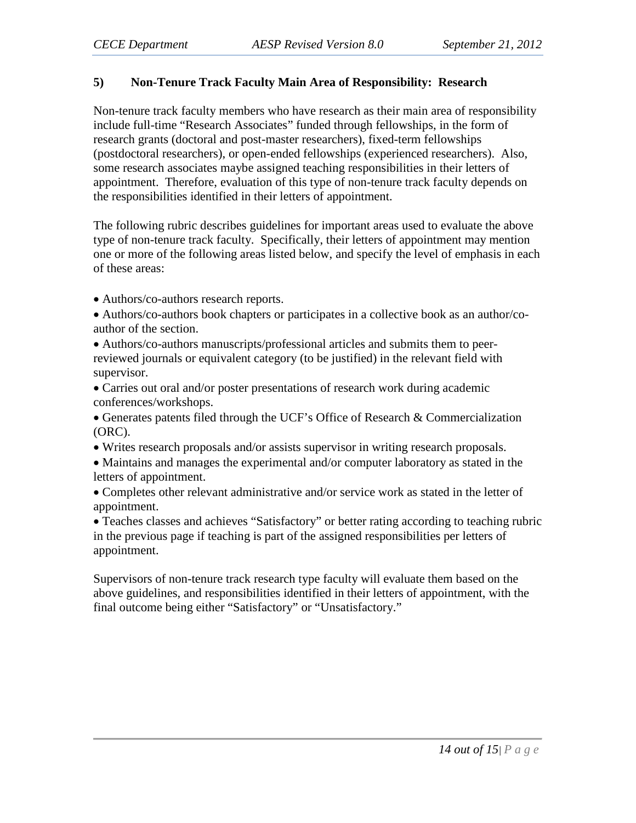### **5) Non-Tenure Track Faculty Main Area of Responsibility: Research**

Non-tenure track faculty members who have research as their main area of responsibility include full-time "Research Associates" funded through fellowships, in the form of research grants (doctoral and post-master researchers), fixed-term fellowships (postdoctoral researchers), or open-ended fellowships (experienced researchers). Also, some research associates maybe assigned teaching responsibilities in their letters of appointment. Therefore, evaluation of this type of non-tenure track faculty depends on the responsibilities identified in their letters of appointment.

The following rubric describes guidelines for important areas used to evaluate the above type of non-tenure track faculty. Specifically, their letters of appointment may mention one or more of the following areas listed below, and specify the level of emphasis in each of these areas:

• Authors/co-authors research reports.

• Authors/co-authors book chapters or participates in a collective book as an author/coauthor of the section.

• Authors/co-authors manuscripts/professional articles and submits them to peerreviewed journals or equivalent category (to be justified) in the relevant field with supervisor.

• Carries out oral and/or poster presentations of research work during academic conferences/workshops.

• Generates patents filed through the UCF's Office of Research & Commercialization (ORC).

- Writes research proposals and/or assists supervisor in writing research proposals.
- Maintains and manages the experimental and/or computer laboratory as stated in the letters of appointment.

• Completes other relevant administrative and/or service work as stated in the letter of appointment.

• Teaches classes and achieves "Satisfactory" or better rating according to teaching rubric in the previous page if teaching is part of the assigned responsibilities per letters of appointment.

Supervisors of non-tenure track research type faculty will evaluate them based on the above guidelines, and responsibilities identified in their letters of appointment, with the final outcome being either "Satisfactory" or "Unsatisfactory."